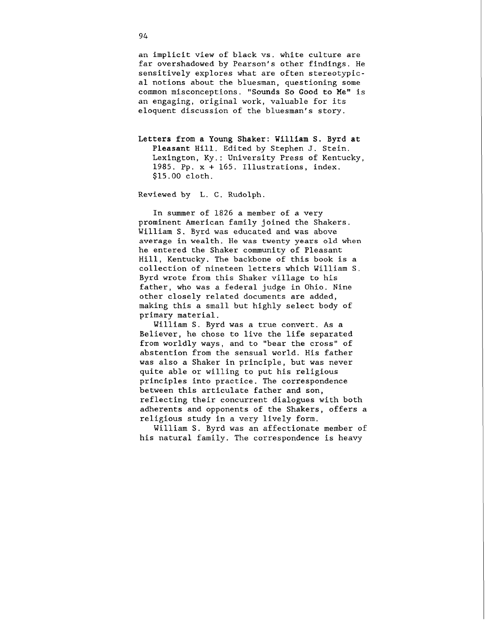an implicit view of black vs. white culture are far overshadowed by Pearson's other findings. He sensitively explores what are often stereotypical notions about the bluesman, questioning some common misconceptions. **"Sounds So Good to** Me" is an engaging, original work, valuable for its eloquent discussion of the bluesman's story.

**Letters from a Young Shaker:** William **S. Byrd at Pleasant Hill.** Edited by Stephen J. Stein. Lexington, Ky.: University Press of Kentucky, 1985. Pp. x + 165. Illustrations, index. \$15.00 cloth.

Reviewed by L. C. Rudolph.

In summer of 1826 a member of a very prominent American family joined the Shakers. William S. Byrd was educated and was above average in wealth. He was twenty years old when he entered the Shaker community of Pleasant Hill, Kentucky. The backbone of this book is a collection of nineteen letters which William S. Byrd wrote from this Shaker village to his father, who was a federal judge in Ohio. Nine other closely related documents are added, making this a small but highly select body of primary material.

William S. Byrd was a true convert. As a Believer, he chose to live the life separated from worldly ways, and to "bear the cross" of abstention from the sensual world. His father was also a Shaker in principle, but was never quite able or willing to put his religious principles into practice. The correspondence between this articulate father and son, reflecting their concurrent dialogues with both adherents and opponents of the Shakers, offers a religious study in a very lively form.

William S. Byrd was an affectionate member of his natural family. The correspondence is heavy

94